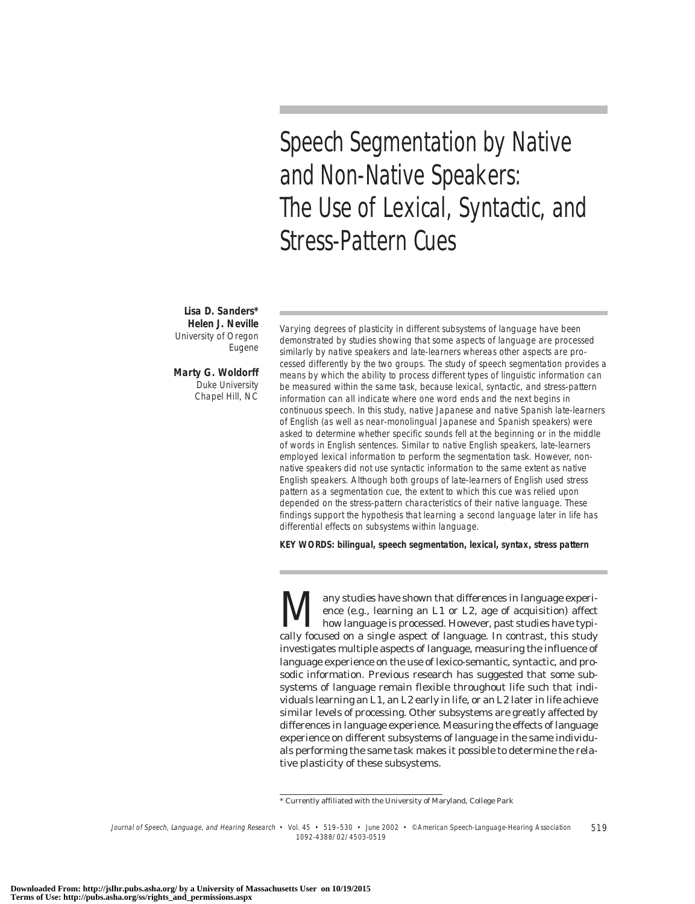Speech Segmentation by Native and Non-Native Speakers: The Use of Lexical, Syntactic, and Stress-Pattern Cues

**Lisa D. Sanders\* Helen J. Neville** University of Oregon Eugene

**Marty G. Woldorff** Duke University Chapel Hill, NC

Varying degrees of plasticity in different subsystems of language have been demonstrated by studies showing that some aspects of language are processed similarly by native speakers and late-learners whereas other aspects are processed differently by the two groups. The study of speech segmentation provides a means by which the ability to process different types of linguistic information can be measured within the same task, because lexical, syntactic, and stress-pattern information can all indicate where one word ends and the next begins in continuous speech. In this study, native Japanese and native Spanish late-learners of English (as well as near-monolingual Japanese and Spanish speakers) were asked to determine whether specific sounds fell at the beginning or in the middle of words in English sentences. Similar to native English speakers, late-learners employed lexical information to perform the segmentation task. However, nonnative speakers did not use syntactic information to the same extent as native English speakers. Although both groups of late-learners of English used stress pattern as a segmentation cue, the extent to which this cue was relied upon depended on the stress-pattern characteristics of their native language. These findings support the hypothesis that learning a second language later in life has differential effects on subsystems within language.

**KEY WORDS: bilingual, speech segmentation, lexical, syntax, stress pattern**

Many studies have shown that differences in language experience (e.g., learning an L1 or L2, age of acquisition) affect how language is processed. However, past studies have typically focused on a single aspect of language ence (e.g., learning an L1 or L2, age of acquisition) affect how language is processed. However, past studies have typically focused on a single aspect of language. In contrast, this study investigates multiple aspects of language, measuring the influence of language experience on the use of lexico-semantic, syntactic, and prosodic information. Previous research has suggested that some subsystems of language remain flexible throughout life such that individuals learning an L1, an L2 early in life, or an L2 later in life achieve similar levels of processing. Other subsystems are greatly affected by differences in language experience. Measuring the effects of language experience on different subsystems of language in the same individuals performing the same task makes it possible to determine the relative plasticity of these subsystems.

Journal of Speech, Language, and Hearing Research • Vol. 45 • 519–530 • June 2002 • ©American Speech-Language-Hearing Association 519 1092-4388/02/4503-0519

<sup>\*</sup> Currently affiliated with the University of Maryland, College Park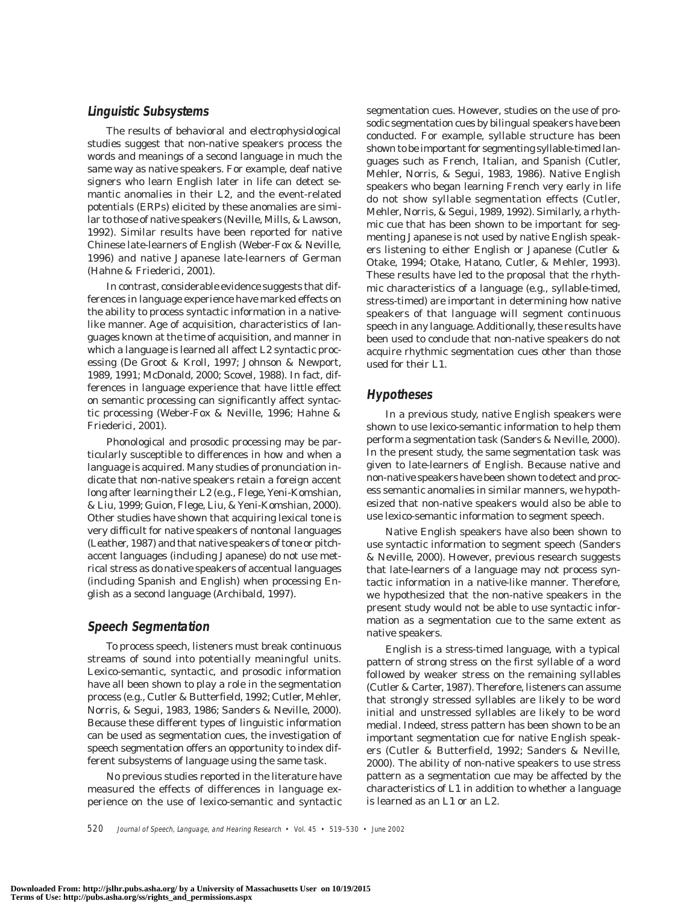## **Linguistic Subsystems**

The results of behavioral and electrophysiological studies suggest that non-native speakers process the words and meanings of a second language in much the same way as native speakers. For example, deaf native signers who learn English later in life can detect semantic anomalies in their L2, and the event-related potentials (ERPs) elicited by these anomalies are similar to those of native speakers (Neville, Mills, & Lawson, 1992). Similar results have been reported for native Chinese late-learners of English (Weber-Fox & Neville, 1996) and native Japanese late-learners of German (Hahne & Friederici, 2001).

In contrast, considerable evidence suggests that differences in language experience have marked effects on the ability to process syntactic information in a nativelike manner. Age of acquisition, characteristics of languages known at the time of acquisition, and manner in which a language is learned all affect L2 syntactic processing (De Groot & Kroll, 1997; Johnson & Newport, 1989, 1991; McDonald, 2000; Scovel, 1988). In fact, differences in language experience that have little effect on semantic processing can significantly affect syntactic processing (Weber-Fox & Neville, 1996; Hahne & Friederici, 2001).

Phonological and prosodic processing may be particularly susceptible to differences in how and when a language is acquired. Many studies of pronunciation indicate that non-native speakers retain a foreign accent long after learning their L2 (e.g., Flege, Yeni-Komshian, & Liu, 1999; Guion, Flege, Liu, & Yeni-Komshian, 2000). Other studies have shown that acquiring lexical tone is very difficult for native speakers of nontonal languages (Leather, 1987) and that native speakers of tone or pitchaccent languages (including Japanese) do not use metrical stress as do native speakers of accentual languages (including Spanish and English) when processing English as a second language (Archibald, 1997).

## **Speech Segmentation**

To process speech, listeners must break continuous streams of sound into potentially meaningful units. Lexico-semantic, syntactic, and prosodic information have all been shown to play a role in the segmentation process (e.g., Cutler & Butterfield, 1992; Cutler, Mehler, Norris, & Segui, 1983, 1986; Sanders & Neville, 2000). Because these different types of linguistic information can be used as segmentation cues, the investigation of speech segmentation offers an opportunity to index different subsystems of language using the same task.

No previous studies reported in the literature have measured the effects of differences in language experience on the use of lexico-semantic and syntactic segmentation cues. However, studies on the use of prosodic segmentation cues by bilingual speakers have been conducted. For example, syllable structure has been shown to be important for segmenting syllable-timed languages such as French, Italian, and Spanish (Cutler, Mehler, Norris, & Segui, 1983, 1986). Native English speakers who began learning French very early in life do not show syllable segmentation effects (Cutler, Mehler, Norris, & Segui, 1989, 1992). Similarly, a rhythmic cue that has been shown to be important for segmenting Japanese is not used by native English speakers listening to either English or Japanese (Cutler & Otake, 1994; Otake, Hatano, Cutler, & Mehler, 1993). These results have led to the proposal that the rhythmic characteristics of a language (e.g., syllable-timed, stress-timed) are important in determining how native speakers of that language will segment continuous speech in any language. Additionally, these results have been used to conclude that non-native speakers do not acquire rhythmic segmentation cues other than those used for their L1.

## **Hypotheses**

In a previous study, native English speakers were shown to use lexico-semantic information to help them perform a segmentation task (Sanders & Neville, 2000). In the present study, the same segmentation task was given to late-learners of English. Because native and non-native speakers have been shown to detect and process semantic anomalies in similar manners, we hypothesized that non-native speakers would also be able to use lexico-semantic information to segment speech.

Native English speakers have also been shown to use syntactic information to segment speech (Sanders & Neville, 2000). However, previous research suggests that late-learners of a language may not process syntactic information in a native-like manner. Therefore, we hypothesized that the non-native speakers in the present study would not be able to use syntactic information as a segmentation cue to the same extent as native speakers.

English is a stress-timed language, with a typical pattern of strong stress on the first syllable of a word followed by weaker stress on the remaining syllables (Cutler & Carter, 1987). Therefore, listeners can assume that strongly stressed syllables are likely to be word initial and unstressed syllables are likely to be word medial. Indeed, stress pattern has been shown to be an important segmentation cue for native English speakers (Cutler & Butterfield, 1992; Sanders & Neville, 2000). The ability of non-native speakers to use stress pattern as a segmentation cue may be affected by the characteristics of L1 in addition to whether a language is learned as an L1 or an L2.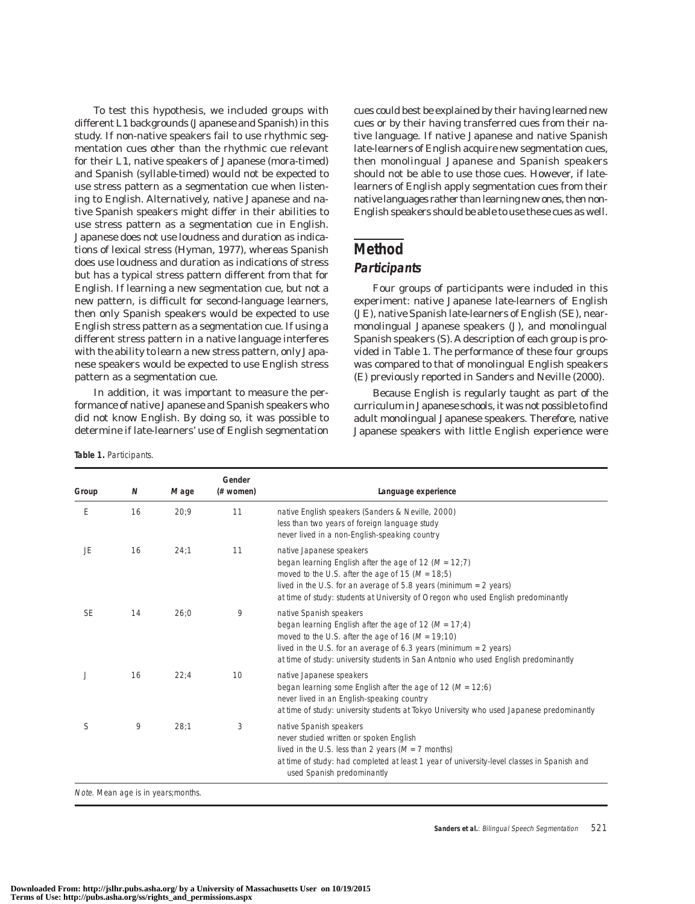To test this hypothesis, we included groups with different L1 backgrounds (Japanese and Spanish) in this study. If non-native speakers fail to use rhythmic segmentation cues other than the rhythmic cue relevant for their L1, native speakers of Japanese (mora-timed) and Spanish (syllable-timed) would not be expected to use stress pattern as a segmentation cue when listening to English. Alternatively, native Japanese and native Spanish speakers might differ in their abilities to use stress pattern as a segmentation cue in English. Japanese does not use loudness and duration as indications of lexical stress (Hyman, 1977), whereas Spanish does use loudness and duration as indications of stress but has a typical stress pattern different from that for English. If learning a new segmentation cue, but not a new pattern, is difficult for second-language learners, then only Spanish speakers would be expected to use English stress pattern as a segmentation cue. If using a different stress pattern in a native language interferes with the ability to learn a new stress pattern, only Japanese speakers would be expected to use English stress pattern as a segmentation cue.

In addition, it was important to measure the performance of native Japanese and Spanish speakers who did not know English. By doing so, it was possible to determine if late-learners' use of English segmentation

**Table 1.** Participants.

cues could best be explained by their having learned new cues or by their having transferred cues from their native language. If native Japanese and native Spanish late-learners of English acquire new segmentation cues, then monolingual Japanese and Spanish speakers should not be able to use those cues. However, if latelearners of English apply segmentation cues from their native languages rather than learning new ones, then non-English speakers should be able to use these cues as well.

# **Method**

## **Participants**

Four groups of participants were included in this experiment: native Japanese late-learners of English (JE), native Spanish late-learners of English (SE), nearmonolingual Japanese speakers (J), and monolingual Spanish speakers (S). A description of each group is provided in Table 1. The performance of these four groups was compared to that of monolingual English speakers (E) previously reported in Sanders and Neville (2000).

Because English is regularly taught as part of the curriculum in Japanese schools, it was not possible to find adult monolingual Japanese speakers. Therefore, native Japanese speakers with little English experience were

| Group     | N  | M age | Gender<br>(# women) | Language experience                                                                                                                                                                                                                                                                                         |
|-----------|----|-------|---------------------|-------------------------------------------------------------------------------------------------------------------------------------------------------------------------------------------------------------------------------------------------------------------------------------------------------------|
| E         | 16 | 20:9  | 11                  | native English speakers (Sanders & Neville, 2000)<br>less than two years of foreign language study<br>never lived in a non-English-speaking country                                                                                                                                                         |
| JE        | 16 | 24:1  | 11                  | native Japanese speakers<br>began learning English after the age of 12 ( $M = 12;7$ )<br>moved to the U.S. after the age of 15 ( $M = 18,5$ )<br>lived in the U.S. for an average of $5.8$ years (minimum = $2$ years)<br>at time of study: students at University of Oregon who used English predominantly |
| <b>SE</b> | 14 | 26:0  | 9                   | native Spanish speakers<br>began learning English after the age of 12 ( $M = 17:4$ )<br>moved to the U.S. after the age of 16 ( $M = 19;10$ )<br>lived in the U.S. for an average of 6.3 years (minimum $= 2$ years)<br>at time of study: university students in San Antonio who used English predominantly |
|           | 16 | 22:4  | 10                  | native Japanese speakers<br>began learning some English after the age of 12 ( $M = 12:6$ )<br>never lived in an English-speaking country<br>at time of study: university students at Tokyo University who used Japanese predominantly                                                                       |
| S         | 9  | 28:1  | 3                   | native Spanish speakers<br>never studied written or spoken English<br>lived in the U.S. less than 2 years ( $M = 7$ months)<br>at time of study: had completed at least 1 year of university-level classes in Spanish and<br>used Spanish predominantly                                                     |

Note. Mean age is in years;months.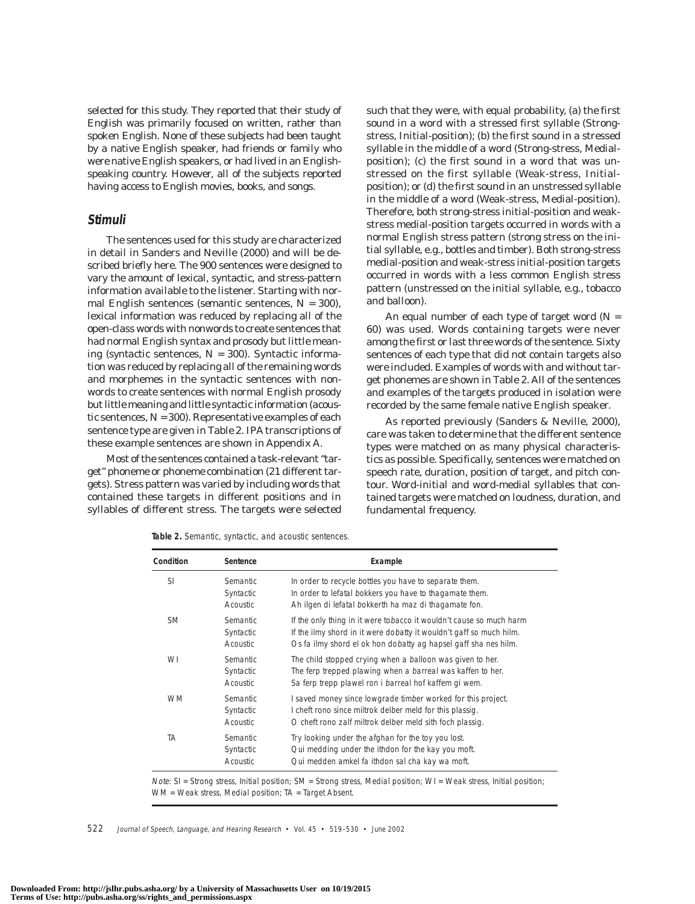selected for this study. They reported that their study of English was primarily focused on written, rather than spoken English. None of these subjects had been taught by a native English speaker, had friends or family who were native English speakers, or had lived in an Englishspeaking country. However, all of the subjects reported having access to English movies, books, and songs.

#### **Stimuli**

The sentences used for this study are characterized in detail in Sanders and Neville (2000) and will be described briefly here. The 900 sentences were designed to vary the amount of lexical, syntactic, and stress-pattern information available to the listener. Starting with normal English sentences (*semantic* sentences, *N* = 300), lexical information was reduced by replacing all of the open-class words with nonwords to create sentences that had normal English syntax and prosody but little meaning (*syntactic* sentences, *N* = 300). Syntactic information was reduced by replacing all of the remaining words and morphemes in the syntactic sentences with nonwords to create sentences with normal English prosody but little meaning and little syntactic information (*acoustic* sentences, *N* = 300). Representative examples of each sentence type are given in Table 2. IPA transcriptions of these example sentences are shown in Appendix A.

Most of the sentences contained a task-relevant "target" phoneme or phoneme combination (21 different targets). Stress pattern was varied by including words that contained these targets in different positions and in syllables of different stress. The targets were selected such that they were, with equal probability, (a) the first sound in a word with a stressed first syllable (Strongstress, Initial-position); (b) the first sound in a stressed syllable in the middle of a word (Strong-stress, Medialposition); (c) the first sound in a word that was unstressed on the first syllable (Weak-stress, Initialposition); or (d) the first sound in an unstressed syllable in the middle of a word (Weak-stress, Medial-position). Therefore, both strong-stress initial-position and weakstress medial-position targets occurred in words with a normal English stress pattern (strong stress on the initial syllable, e.g., *bot*tles and *tim*ber). Both strong-stress medial-position and weak-stress initial-position targets occurred in words with a less common English stress pattern (unstressed on the initial syllable, e.g., to*bac*co and bal*loon*).

An equal number of each type of target word (*N* = 60) was used. Words containing targets were never among the first or last three words of the sentence. Sixty sentences of each type that did not contain targets also were included. Examples of words with and without target phonemes are shown in Table 2. All of the sentences and examples of the targets produced in isolation were recorded by the same female native English speaker.

As reported previously (Sanders & Neville, 2000), care was taken to determine that the different sentence types were matched on as many physical characteristics as possible. Specifically, sentences were matched on speech rate, duration, position of target, and pitch contour. Word-initial and word-medial syllables that contained targets were matched on loudness, duration, and fundamental frequency.

**Table 2.** Semantic, syntactic, and acoustic sentences.

| Condition     | Sentence                                        | Example                                                                                                                                                                                                       |
|---------------|-------------------------------------------------|---------------------------------------------------------------------------------------------------------------------------------------------------------------------------------------------------------------|
| <sup>SI</sup> | <b>Semantic</b><br>Syntactic<br><b>Acoustic</b> | In order to recycle bottles you have to separate them.<br>In order to lefatal bokkers you have to thagamate them.<br>Ah ilgen di lefatal bokkerth ha maz di thagamate fon.                                    |
| <b>SM</b>     | <b>Semantic</b><br>Syntactic<br><b>Acoustic</b> | If the only thing in it were tobacco it wouldn't cause so much harm<br>If the ilmy shord in it were dobatty it wouldn't gaff so much hilm.<br>Os fa ilmy shord el ok hon dobatty ag hapsel gaff sha nes hilm. |
| WI            | <b>Semantic</b><br>Syntactic<br><b>Acoustic</b> | The child stopped crying when a balloon was given to her.<br>The ferp trepped plawing when a barreal was kaffen to her.<br>Sa ferp trepp plawel ron i barreal hof kaffem gi wem.                              |
| <b>WM</b>     | <b>Semantic</b><br>Syntactic<br><b>Acoustic</b> | I saved money since lowgrade timber worked for this project.<br>I cheft rono since miltrok delber meld for this plassig.<br>O cheft rono zalf miltrok delber meld sith foch plassig.                          |
| ТA            | <b>Semantic</b><br>Syntactic<br>Acoustic        | Try looking under the afghan for the toy you lost.<br>Qui medding under the ithdon for the kay you moft.<br>Qui medden amkel fa ithdon sal cha kay wa moft.                                                   |

Note: SI = Strong stress, Initial position; SM = Strong stress, Medial position; WI = Weak stress, Initial position; WM = Weak stress, Medial position; TA = Target Absent.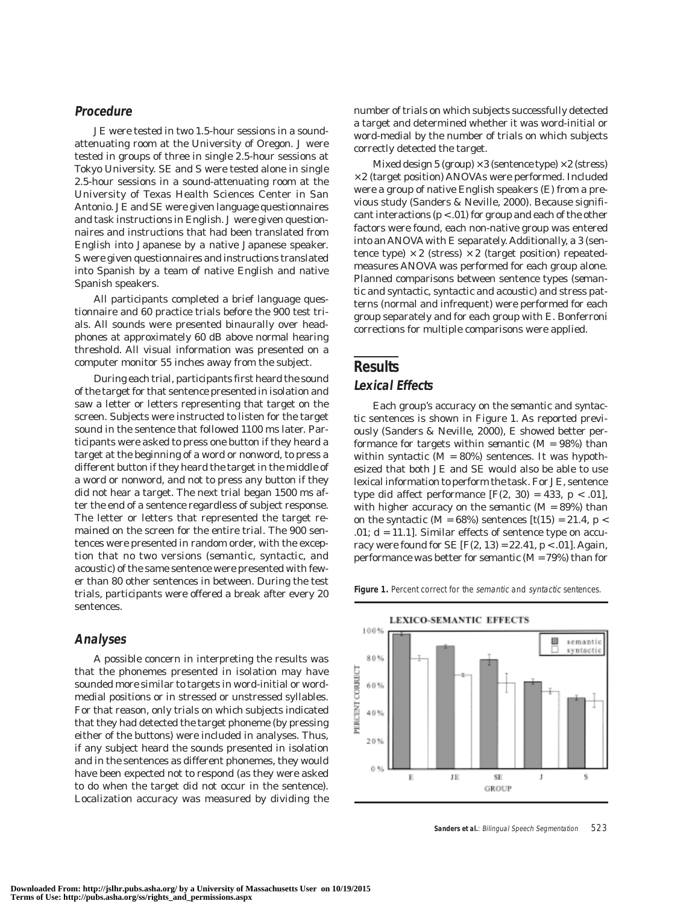### **Procedure**

JE were tested in two 1.5-hour sessions in a soundattenuating room at the University of Oregon. J were tested in groups of three in single 2.5-hour sessions at Tokyo University. SE and S were tested alone in single 2.5-hour sessions in a sound-attenuating room at the University of Texas Health Sciences Center in San Antonio. JE and SE were given language questionnaires and task instructions in English. J were given questionnaires and instructions that had been translated from English into Japanese by a native Japanese speaker. S were given questionnaires and instructions translated into Spanish by a team of native English and native Spanish speakers.

All participants completed a brief language questionnaire and 60 practice trials before the 900 test trials. All sounds were presented binaurally over headphones at approximately 60 dB above normal hearing threshold. All visual information was presented on a computer monitor 55 inches away from the subject.

During each trial, participants first heard the sound of the target for that sentence presented in isolation and saw a letter or letters representing that target on the screen. Subjects were instructed to listen for the target sound in the sentence that followed 1100 ms later. Participants were asked to press one button if they heard a target at the beginning of a word or nonword, to press a different button if they heard the target in the middle of a word or nonword, and not to press any button if they did not hear a target. The next trial began 1500 ms after the end of a sentence regardless of subject response. The letter or letters that represented the target remained on the screen for the entire trial. The 900 sentences were presented in random order, with the exception that no two versions (*semantic*, *syntactic*, and *acoustic*) of the same sentence were presented with fewer than 80 other sentences in between. During the test trials, participants were offered a break after every 20 sentences.

## **Analyses**

A possible concern in interpreting the results was that the phonemes presented in isolation may have sounded more similar to targets in word-initial or wordmedial positions or in stressed or unstressed syllables. For that reason, only trials on which subjects indicated that they had detected the target phoneme (by pressing either of the buttons) were included in analyses. Thus, if any subject heard the sounds presented in isolation and in the sentences as different phonemes, they would have been expected not to respond (as they were asked to do when the target did not occur in the sentence). Localization accuracy was measured by dividing the number of trials on which subjects successfully detected a target and determined whether it was word-initial or word-medial by the number of trials on which subjects correctly detected the target.

Mixed design 5 (group)  $\times 3$  (sentence type)  $\times 2$  (stress)  $\times$  2 (target position) ANOVAs were performed. Included were a group of native English speakers (E) from a previous study (Sanders & Neville, 2000). Because significant interactions ( $p < .01$ ) for group and each of the other factors were found, each non-native group was entered into an ANOVA with E separately. Additionally, a 3 (sentence type)  $\times$  2 (stress)  $\times$  2 (target position) repeatedmeasures ANOVA was performed for each group alone. Planned comparisons between sentence types (*semantic* and *syntactic*, *syntactic* and *acoustic*) and stress patterns (normal and infrequent) were performed for each group separately and for each group with E. Bonferroni corrections for multiple comparisons were applied.

## **Results**

#### **Lexical Effects**

Each group's accuracy on the *semantic* and *syntactic* sentences is shown in Figure 1. As reported previously (Sanders & Neville, 2000), E showed better performance for targets within *semantic* (*M* = 98%) than within *syntactic* ( $M = 80\%$ ) sentences. It was hypothesized that both JE and SE would also be able to use lexical information to perform the task. For JE, sentence type did affect performance  $[F(2, 30) = 433, p < .01]$ , with higher accuracy on the *semantic* (*M* = 89%) than on the *syntactic* ( $M = 68\%$ ) sentences [ $t(15) = 21.4$ ,  $p <$ .01;  $d = 11.1$ ]. Similar effects of sentence type on accuracy were found for SE [*F*(2, 13) = 22.41, *p* < .01]. Again, performance was better for *semantic* (*M* = 79%) than for

Figure 1. Percent correct for the semantic and syntactic sentences.

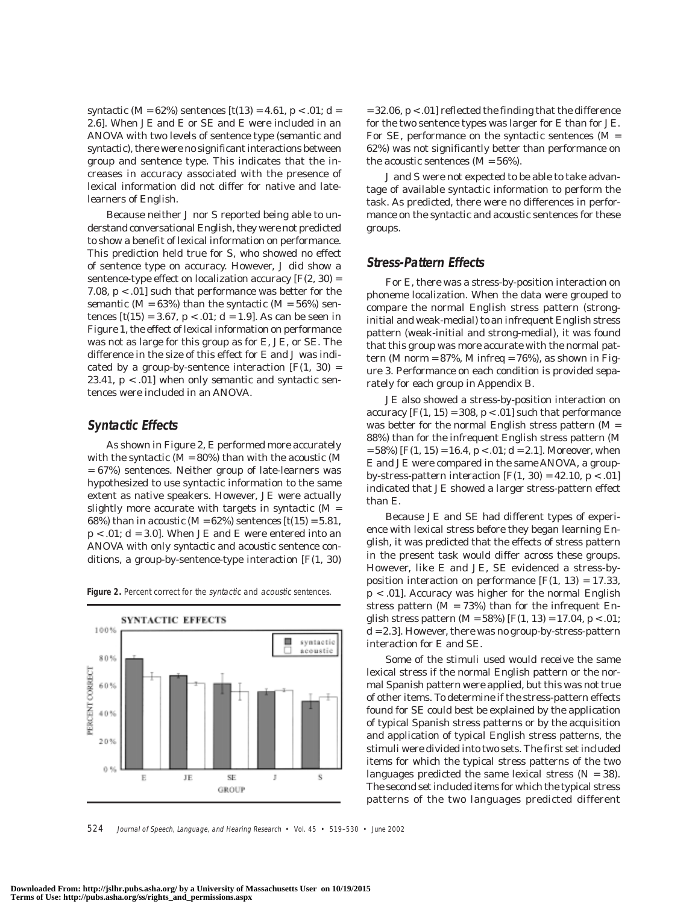*syntactic* (*M* = 62%) sentences [*t*(13) = 4.61, *p* < .01; *d* = 2.6]. When JE and E or SE and E were included in an ANOVA with two levels of sentence type (*semantic* and *syntactic*), there were no significant interactions between group and sentence type. This indicates that the increases in accuracy associated with the presence of lexical information did not differ for native and latelearners of English.

Because neither J nor S reported being able to understand conversational English, they were not predicted to show a benefit of lexical information on performance. This prediction held true for S, who showed no effect of sentence type on accuracy. However, J did show a sentence-type effect on localization accuracy  $[F(2, 30) =$ 7.08, *p* < .01] such that performance was better for the *semantic* ( $M = 63\%$ ) than the *syntactic* ( $M = 56\%$ ) sentences  $[t(15) = 3.67, p < .01; d = 1.9]$ . As can be seen in Figure 1, the effect of lexical information on performance was not as large for this group as for E, JE, or SE. The difference in the size of this effect for E and J was indicated by a group-by-sentence interaction  $[F(1, 30) =$ 23.41, *p* < .01] when only *semantic* and *syntactic* sentences were included in an ANOVA.

#### **Syntactic Effects**

As shown in Figure 2, E performed more accurately with the *syntactic* (*M* = 80%) than with the *acoustic* (*M* = 67%) sentences. Neither group of late-learners was hypothesized to use syntactic information to the same extent as native speakers. However, JE were actually slightly more accurate with targets in *syntactic* (*M* = 68%) than in *acoustic* ( $M = 62$ %) sentences [ $t(15) = 5.81$ ,  $p < .01$ ;  $d = 3.0$ ]. When JE and E were entered into an ANOVA with only *syntactic* and *acoustic* sentence conditions, a group-by-sentence-type interaction [*F*(1, 30)

Figure 2. Percent correct for the syntactic and acoustic sentences.



= 32.06, *p* < .01] reflected the finding that the difference for the two sentence types was larger for E than for JE. For SE, performance on the *syntactic* sentences (*M* = 62%) was not significantly better than performance on the *acoustic* sentences (*M* = 56%).

J and S were not expected to be able to take advantage of available syntactic information to perform the task. As predicted, there were no differences in performance on the *syntactic* and *acoustic* sentences for these groups.

#### **Stress-Pattern Effects**

For E, there was a stress-by-position interaction on phoneme localization. When the data were grouped to compare the normal English stress pattern (stronginitial and weak-medial) to an infrequent English stress pattern (weak-initial and strong-medial), it was found that this group was more accurate with the normal pattern (*M* norm = 87%, *M* infreq = 76%), as shown in Figure 3. Performance on each condition is provided separately for each group in Appendix B.

JE also showed a stress-by-position interaction on accuracy  $[F(1, 15) = 308, p < .01]$  such that performance was better for the normal English stress pattern (*M* = 88%) than for the infrequent English stress pattern (*M* = 58%) [*F*(1, 15) = 16.4, *p* < .01; *d* = 2.1]. Moreover, when E and JE were compared in the same ANOVA, a groupby-stress-pattern interaction  $[F(1, 30) = 42.10, p < .01]$ indicated that JE showed a *larger* stress-pattern effect than E.

Because JE and SE had different types of experience with lexical stress before they began learning English, it was predicted that the effects of stress pattern in the present task would differ across these groups. However, like E and JE, SE evidenced a stress-byposition interaction on performance  $[F(1, 13) = 17.33]$ , *p* < .01]. Accuracy was higher for the normal English stress pattern  $(M = 73%)$  than for the infrequent English stress pattern (*M* = 58%) [*F*(1, 13) = 17.04, *p* < .01; *d* = 2.3]. However, there was no group-by-stress-pattern interaction for E and SE.

Some of the stimuli used would receive the same lexical stress if the normal English pattern or the normal Spanish pattern were applied, but this was not true of other items. To determine if the stress-pattern effects found for SE could best be explained by the application of typical Spanish stress patterns or by the acquisition and application of typical English stress patterns, the stimuli were divided into two sets. The first set included items for which the typical stress patterns of the two languages predicted the same lexical stress (*N* = 38). The second set included items for which the typical stress patterns of the two languages predicted different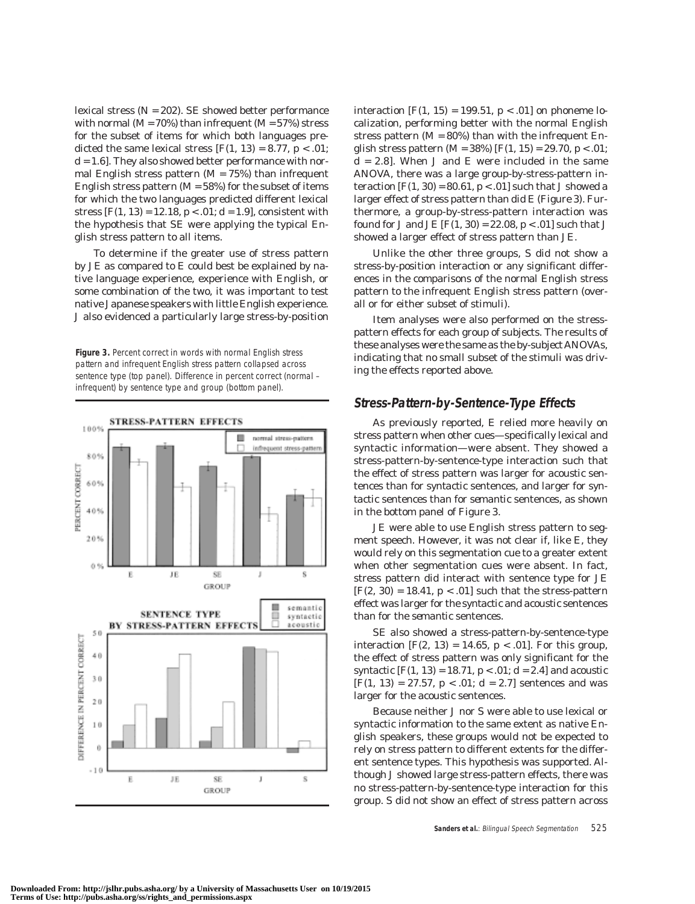lexical stress (*N* = 202). SE showed better performance with normal  $(M = 70\%)$  than infrequent  $(M = 57\%)$  stress for the subset of items for which both languages predicted the same lexical stress  $[F(1, 13) = 8.77, p < .01;$  $d = 1.6$ . They also showed better performance with normal English stress pattern  $(M = 75%)$  than infrequent English stress pattern  $(M = 58\%)$  for the subset of items for which the two languages predicted different lexical stress  $[F(1, 13) = 12.18, p < .01; d = 1.9]$ , consistent with the hypothesis that SE were applying the typical English stress pattern to all items.

To determine if the greater use of stress pattern by JE as compared to E could best be explained by native language experience, experience with English, or some combination of the two, it was important to test native Japanese speakers with little English experience. J also evidenced a particularly large stress-by-position

**Figure 3.** Percent correct in words with normal English stress pattern and infrequent English stress pattern collapsed across sentence type (top panel). Difference in percent correct (normal – infrequent) by sentence type and group (bottom panel).



interaction  $[F(1, 15) = 199.51, p < .01]$  on phoneme localization, performing better with the normal English stress pattern  $(M = 80\%)$  than with the infrequent English stress pattern (*M* = 38%) [*F*(1, 15) = 29.70, *p* < .01;  $d = 2.8$ ]. When J and E were included in the same ANOVA, there was a large group-by-stress-pattern interaction  $[F(1, 30) = 80.61, p < .01]$  such that J showed a larger effect of stress pattern than did E (Figure 3). Furthermore, a group-by-stress-pattern interaction was found for J and JE  $[F(1, 30) = 22.08, p < .01]$  such that J showed a larger effect of stress pattern than JE.

Unlike the other three groups, S did not show a stress-by-position interaction or any significant differences in the comparisons of the normal English stress pattern to the infrequent English stress pattern (overall or for either subset of stimuli).

Item analyses were also performed on the stresspattern effects for each group of subjects. The results of these analyses were the same as the by-subject ANOVAs, indicating that no small subset of the stimuli was driving the effects reported above.

#### **Stress-Pattern-by-Sentence-Type Effects**

As previously reported, E relied more heavily on stress pattern when other cues—specifically lexical and syntactic information—were absent. They showed a stress-pattern-by-sentence-type interaction such that the effect of stress pattern was larger for *acoustic* sentences than for *syntactic* sentences, and larger for *syntactic* sentences than for *semantic* sentences, as shown in the bottom panel of Figure 3.

JE were able to use English stress pattern to segment speech. However, it was not clear if, like E, they would rely on this segmentation cue to a greater extent when other segmentation cues were absent. In fact, stress pattern did interact with sentence type for JE  $[F(2, 30) = 18.41, p < .01]$  such that the stress-pattern effect was larger for the *syntactic* and *acoustic* sentences than for the *semantic* sentences.

SE also showed a stress-pattern-by-sentence-type interaction  $[F(2, 13) = 14.65, p < .01]$ . For this group, the effect of stress pattern was only significant for the *syntactic* [*F*(1, 13) = 18.71, *p* < .01; *d* = 2.4] and *acoustic*  $[F(1, 13) = 27.57, p < .01; d = 2.7]$  sentences and was larger for the *acoustic* sentences.

Because neither J nor S were able to use lexical or syntactic information to the same extent as native English speakers, these groups would not be expected to rely on stress pattern to different extents for the different sentence types. This hypothesis was supported. Although J showed large stress-pattern effects, there was no stress-pattern-by-sentence-type interaction for this group. S did not show an effect of stress pattern across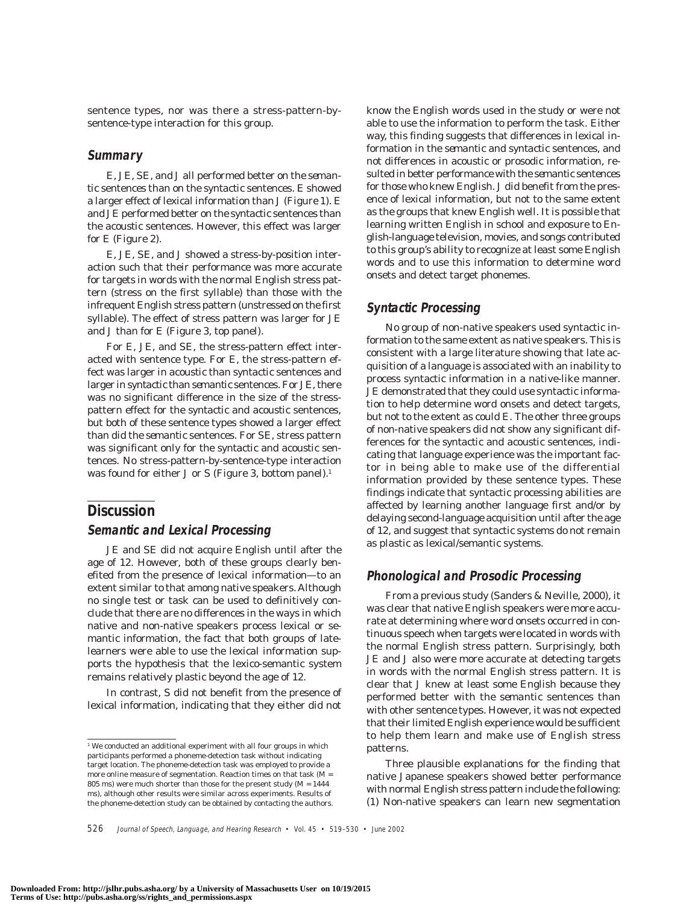sentence types, nor was there a stress-pattern-bysentence-type interaction for this group.

#### **Summary**

E, JE, SE, and J all performed better on the *semantic* sentences than on the *syntactic* sentences. E showed a larger effect of lexical information than J (Figure 1). E and JE performed better on the *syntactic* sentences than the *acoustic* sentences. However, this effect was larger for E (Figure 2).

E, JE, SE, and J showed a stress-by-position interaction such that their performance was more accurate for targets in words with the normal English stress pattern (stress on the first syllable) than those with the infrequent English stress pattern (unstressed on the first syllable). The effect of stress pattern was larger for JE and J than for E (Figure 3, top panel).

For E, JE, and SE, the stress-pattern effect interacted with sentence type. For E, the stress-pattern effect was larger in *acoustic* than *syntactic* sentences and larger in *syntactic* than *semantic* sentences. For JE, there was no significant difference in the size of the stresspattern effect for the *syntactic* and *acoustic* sentences, but both of these sentence types showed a larger effect than did the *semantic* sentences. For SE, stress pattern was significant only for the *syntactic* and *acoustic* sentences. No stress-pattern-by-sentence-type interaction was found for either J or S (Figure 3, bottom panel).<sup>1</sup>

## **Discussion**

#### **Semantic and Lexical Processing**

JE and SE did not acquire English until after the age of 12. However, both of these groups clearly benefited from the presence of lexical information—to an extent similar to that among native speakers. Although no single test or task can be used to definitively conclude that there are no differences in the ways in which native and non-native speakers process lexical or semantic information, the fact that both groups of latelearners were able to use the lexical information supports the hypothesis that the lexico-semantic system remains relatively plastic beyond the age of 12.

In contrast, S did not benefit from the presence of lexical information, indicating that they either did not know the English words used in the study or were not able to use the information to perform the task. Either way, this finding suggests that differences in lexical information in the *semantic* and *syntactic* sentences, and not differences in acoustic or prosodic information, resulted in better performance with the *semantic* sentences for those who knew English. J did benefit from the presence of lexical information, but not to the same extent as the groups that knew English well. It is possible that learning written English in school and exposure to English-language television, movies, and songs contributed to this group's ability to recognize at least some English words and to use this information to determine word onsets and detect target phonemes.

## **Syntactic Processing**

No group of non-native speakers used syntactic information to the same extent as native speakers. This is consistent with a large literature showing that late acquisition of a language is associated with an inability to process syntactic information in a native-like manner. JE demonstrated that they could use syntactic information to help determine word onsets and detect targets, but not to the extent as could E. The other three groups of non-native speakers did not show any significant differences for the *syntactic* and *acoustic* sentences, indicating that language experience was the important factor in being able to make use of the differential information provided by these sentence types. These findings indicate that syntactic processing abilities are affected by learning another language first and/or by delaying second-language acquisition until after the age of 12, and suggest that syntactic systems do not remain as plastic as lexical/semantic systems.

#### **Phonological and Prosodic Processing**

From a previous study (Sanders & Neville, 2000), it was clear that native English speakers were more accurate at determining where word onsets occurred in continuous speech when targets were located in words with the normal English stress pattern. Surprisingly, both JE and J also were more accurate at detecting targets in words with the normal English stress pattern. It is clear that J knew at least some English because they performed better with the *semantic* sentences than with other sentence types. However, it was not expected that their limited English experience would be sufficient to help them learn and make use of English stress patterns.

Three plausible explanations for the finding that native Japanese speakers showed better performance with normal English stress pattern include the following: (1) Non-native speakers can learn new segmentation

<sup>&</sup>lt;sup>1</sup> We conducted an additional experiment with all four groups in which participants performed a phoneme-detection task without indicating target location. The phoneme-detection task was employed to provide a more online measure of segmentation. Reaction times on that task (*M* = 805 ms) were much shorter than those for the present study  $(M = 1444$ ms), although other results were similar across experiments. Results of the phoneme-detection study can be obtained by contacting the authors.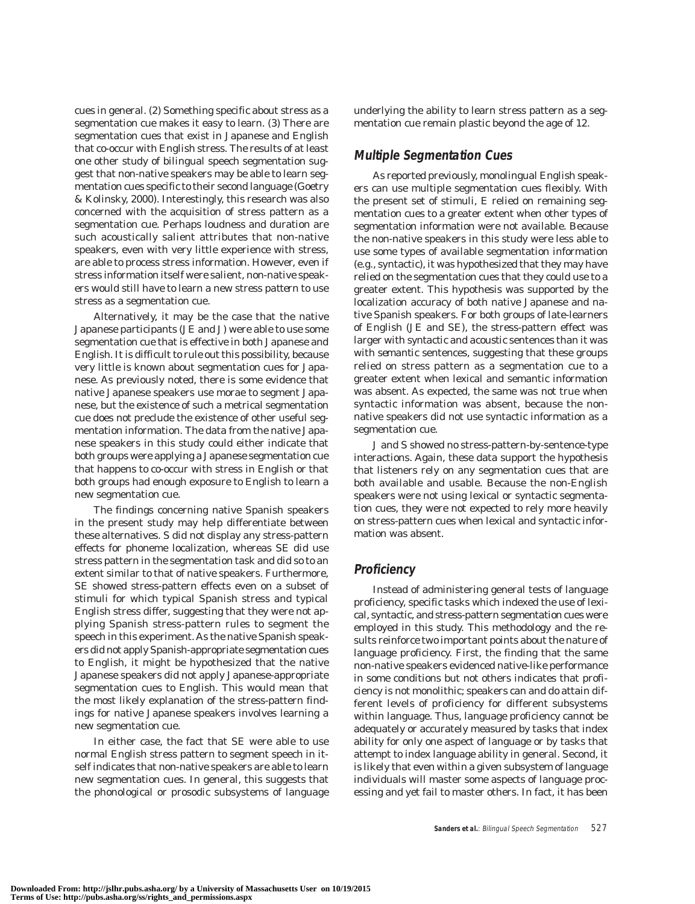cues in general. (2) Something specific about stress as a segmentation cue makes it easy to learn. (3) There are segmentation cues that exist in Japanese and English that co-occur with English stress. The results of at least one other study of bilingual speech segmentation suggest that non-native speakers may be able to learn segmentation cues specific to their second language (Goetry & Kolinsky, 2000). Interestingly, this research was also concerned with the acquisition of stress pattern as a segmentation cue. Perhaps loudness and duration are such acoustically salient attributes that non-native speakers, even with very little experience with stress, are able to process stress information. However, even if stress information itself were salient, non-native speakers would still have to learn a new stress *pattern* to use stress as a segmentation cue.

Alternatively, it may be the case that the native Japanese participants (JE and J) were able to use some segmentation cue that is effective in both Japanese and English. It is difficult to rule out this possibility, because very little is known about segmentation cues for Japanese. As previously noted, there is some evidence that native Japanese speakers use morae to segment Japanese, but the existence of such a metrical segmentation cue does not preclude the existence of other useful segmentation information. The data from the native Japanese speakers in this study could either indicate that both groups were applying a Japanese segmentation cue that happens to co-occur with stress in English or that both groups had enough exposure to English to learn a new segmentation cue.

The findings concerning native Spanish speakers in the present study may help differentiate between these alternatives. S did not display any stress-pattern effects for phoneme localization, whereas SE did use stress pattern in the segmentation task and did so to an extent similar to that of native speakers. Furthermore, SE showed stress-pattern effects even on a subset of stimuli for which typical Spanish stress and typical English stress differ, suggesting that they were not applying Spanish stress-pattern rules to segment the speech in this experiment. As the native Spanish speakers did not apply Spanish-appropriate segmentation cues to English, it might be hypothesized that the native Japanese speakers did not apply Japanese-appropriate segmentation cues to English. This would mean that the most likely explanation of the stress-pattern findings for native Japanese speakers involves learning a new segmentation cue.

In either case, the fact that SE were able to use normal English stress pattern to segment speech in itself indicates that non-native speakers are able to learn new segmentation cues. In general, this suggests that the phonological or prosodic subsystems of language underlying the ability to learn stress pattern as a segmentation cue remain plastic beyond the age of 12.

## **Multiple Segmentation Cues**

As reported previously, monolingual English speakers can use multiple segmentation cues flexibly. With the present set of stimuli, E relied on remaining segmentation cues to a greater extent when other types of segmentation information were not available. Because the non-native speakers in this study were less able to use some types of available segmentation information (e.g., syntactic), it was hypothesized that they may have relied on the segmentation cues that they could use to a greater extent. This hypothesis was supported by the localization accuracy of both native Japanese and native Spanish speakers. For both groups of late-learners of English (JE and SE), the stress-pattern effect was larger with *syntactic* and *acoustic* sentences than it was with *semantic* sentences, suggesting that these groups relied on stress pattern as a segmentation cue to a greater extent when lexical and semantic information was absent. As expected, the same was not true when syntactic information was absent, because the nonnative speakers did not use syntactic information as a segmentation cue.

J and S showed no stress-pattern-by-sentence-type interactions. Again, these data support the hypothesis that listeners rely on any segmentation cues that are both available and usable. Because the non-English speakers were not using lexical or syntactic segmentation cues, they were not expected to rely more heavily on stress-pattern cues when lexical and syntactic information was absent.

## **Proficiency**

Instead of administering general tests of language proficiency, specific tasks which indexed the use of lexical, syntactic, and stress-pattern segmentation cues were employed in this study. This methodology and the results reinforce two important points about the nature of language proficiency. First, the finding that the same non-native speakers evidenced native-like performance in some conditions but not others indicates that proficiency is not monolithic; speakers can and do attain different levels of proficiency for different subsystems within language. Thus, language proficiency cannot be adequately or accurately measured by tasks that index ability for only one aspect of language or by tasks that attempt to index language ability in general. Second, it is likely that even *within* a given subsystem of language individuals will master some aspects of language processing and yet fail to master others. In fact, it has been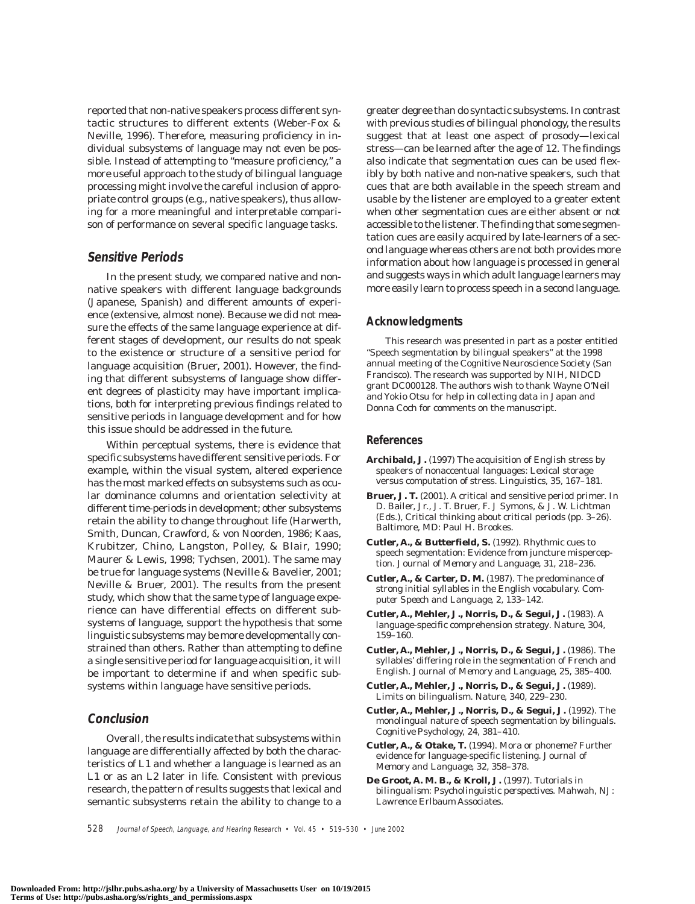reported that non-native speakers process different syntactic structures to different extents (Weber-Fox & Neville, 1996). Therefore, measuring proficiency in individual subsystems of language may not even be possible. Instead of attempting to "measure proficiency," a more useful approach to the study of bilingual language processing might involve the careful inclusion of appropriate control groups (e.g., native speakers), thus allowing for a more meaningful and interpretable comparison of performance on several specific language tasks.

#### **Sensitive Periods**

In the present study, we compared native and nonnative speakers with different language backgrounds (Japanese, Spanish) and different amounts of experience (extensive, almost none). Because we did not measure the effects of the same language experience at different stages of development, our results do not speak to the existence or structure of a sensitive period for language acquisition (Bruer, 2001). However, the finding that different subsystems of language show different degrees of plasticity may have important implications, both for interpreting previous findings related to sensitive periods in language development and for how this issue should be addressed in the future.

Within perceptual systems, there is evidence that specific subsystems have different sensitive periods. For example, within the visual system, altered experience has the most marked effects on subsystems such as ocular dominance columns and orientation selectivity at different time-periods in development; other subsystems retain the ability to change throughout life (Harwerth, Smith, Duncan, Crawford, & von Noorden, 1986; Kaas, Krubitzer, Chino, Langston, Polley, & Blair, 1990; Maurer & Lewis, 1998; Tychsen, 2001). The same may be true for language systems (Neville & Bavelier, 2001; Neville & Bruer, 2001). The results from the present study, which show that the same type of language experience can have differential effects on different subsystems of language, support the hypothesis that some linguistic subsystems may be more developmentally constrained than others. Rather than attempting to define a single sensitive period for language acquisition, it will be important to determine if and when specific subsystems within language have sensitive periods.

### **Conclusion**

Overall, the results indicate that subsystems within language are differentially affected by both the characteristics of L1 and whether a language is learned as an L1 or as an L2 later in life. Consistent with previous research, the pattern of results suggests that lexical and semantic subsystems retain the ability to change to a greater degree than do syntactic subsystems. In contrast with previous studies of bilingual phonology, the results suggest that at least one aspect of prosody—lexical stress—can be learned after the age of 12. The findings also indicate that segmentation cues can be used flexibly by both native and non-native speakers, such that cues that are both available in the speech stream and usable by the listener are employed to a greater extent when other segmentation cues are either absent or not accessible to the listener. The finding that some segmentation cues are easily acquired by late-learners of a second language whereas others are not both provides more information about how language is processed in general and suggests ways in which adult language learners may more easily learn to process speech in a second language.

#### **Acknowledgments**

This research was presented in part as a poster entitled "Speech segmentation by bilingual speakers" at the 1998 annual meeting of the Cognitive Neuroscience Society (San Francisco). The research was supported by NIH, NIDCD grant DC000128. The authors wish to thank Wayne O'Neil and Yokio Otsu for help in collecting data in Japan and Donna Coch for comments on the manuscript.

#### **References**

- **Archibald, J.** (1997) The acquisition of English stress by speakers of nonaccentual languages: Lexical storage versus computation of stress. *Linguistics, 35,* 167–181.
- **Bruer, J. T.** (2001). A critical and sensitive period primer. In D. Bailer, Jr., J. T. Bruer, F. J Symons, & J. W. Lichtman (Eds.), *Critical thinking about critical periods* (pp. 3–26). Baltimore, MD: Paul H. Brookes.
- **Cutler, A., & Butterfield, S.** (1992). Rhythmic cues to speech segmentation: Evidence from juncture misperception. *Journal of Memory and Language, 31,* 218–236.
- **Cutler, A., & Carter, D. M.** (1987). The predominance of strong initial syllables in the English vocabulary. *Computer Speech and Language, 2,* 133–142.
- **Cutler, A., Mehler, J., Norris, D., & Segui, J.** (1983). A language-specific comprehension strategy*. Nature, 304,* 159–160.
- **Cutler, A., Mehler, J., Norris, D., & Segui, J.** (1986). The syllables' differing role in the segmentation of French and English. *Journal of Memory and Language, 25,* 385–400.
- **Cutler, A., Mehler, J., Norris, D., & Segui, J.** (1989). Limits on bilingualism. *Nature, 340,* 229–230.
- **Cutler, A., Mehler, J., Norris, D., & Segui, J.** (1992). The monolingual nature of speech segmentation by bilinguals. *Cognitive Psychology, 24,* 381–410.
- **Cutler, A., & Otake, T.** (1994). Mora or phoneme? Further evidence for language-specific listening. *Journal of Memory and Language, 32,* 358–378.
- **De Groot, A. M. B., & Kroll, J.** (1997). *Tutorials in bilingualism: Psycholinguistic perspectives*. Mahwah, NJ: Lawrence Erlbaum Associates.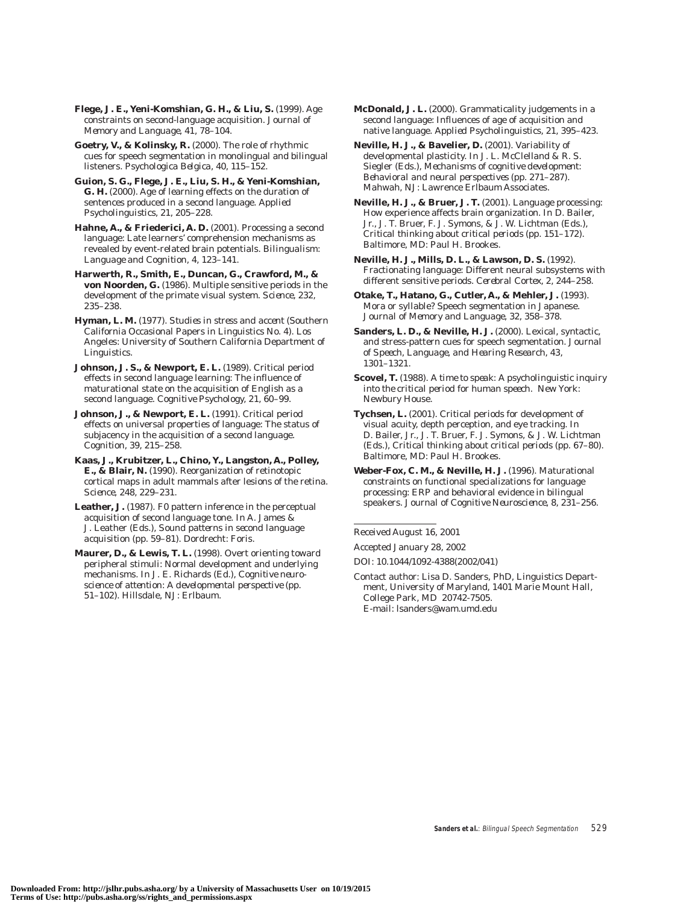**Flege, J. E., Yeni-Komshian, G. H., & Liu, S.** (1999). Age constraints on second-language acquisition. *Journal of Memory and Language, 41,* 78–104.

**Goetry, V., & Kolinsky, R.** (2000). The role of rhythmic cues for speech segmentation in monolingual and bilingual listeners. *Psychologica Belgica, 40,* 115–152.

**Guion, S. G., Flege, J. E., Liu, S. H., & Yeni-Komshian, G. H.** (2000). Age of learning effects on the duration of sentences produced in a second language. *Applied Psycholinguistics, 21,* 205–228.

**Hahne, A., & Friederici, A. D.** (2001). Processing a second language: Late learners' comprehension mechanisms as revealed by event-related brain potentials. *Bilingualism: Language and Cognition, 4,* 123–141.

**Harwerth, R., Smith, E., Duncan, G., Crawford, M., & von Noorden, G.** (1986). Multiple sensitive periods in the development of the primate visual system. *Science, 232,* 235–238.

**Hyman, L. M.** (1977). *Studies in stress and accent* (Southern California Occasional Papers in Linguistics No. 4). Los Angeles: University of Southern California Department of Linguistics.

**Johnson, J. S., & Newport, E. L.** (1989). Critical period effects in second language learning: The influence of maturational state on the acquisition of English as a second language. *Cognitive Psychology, 21,* 60–99.

**Johnson, J., & Newport, E. L.** (1991). Critical period effects on universal properties of language: The status of subjacency in the acquisition of a second language. *Cognition, 39,* 215–258.

**Kaas, J., Krubitzer, L., Chino, Y., Langston, A., Polley, E., & Blair, N.** (1990). Reorganization of retinotopic cortical maps in adult mammals after lesions of the retina. *Science, 248,* 229–231.

**Leather, J.** (1987). F0 pattern inference in the perceptual acquisition of second language tone. In A. James & J. Leather (Eds.), *Sound patterns in second language acquisition* (pp. 59–81). Dordrecht: Foris.

**Maurer, D., & Lewis, T. L.** (1998). Overt orienting toward peripheral stimuli: Normal development and underlying mechanisms. In J. E. Richards (Ed.), *Cognitive neuroscience of attention: A developmental perspective* (pp. 51–102). Hillsdale, NJ: Erlbaum.

**McDonald, J. L.** (2000). Grammaticality judgements in a second language: Influences of age of acquisition and native language. *Applied Psycholinguistics, 21,* 395–423.

**Neville, H. J., & Bavelier, D.** (2001). Variability of developmental plasticity. In J. L. McClelland & R. S. Siegler (Eds.), *Mechanisms of cognitive development: Behavioral and neural perspectives* (pp. 271–287). Mahwah, NJ: Lawrence Erlbaum Associates.

**Neville, H. J., & Bruer, J. T.** (2001). Language processing: How experience affects brain organization. In D. Bailer, Jr., J. T. Bruer, F. J. Symons, & J. W. Lichtman (Eds.), *Critical thinking about critical periods* (pp. 151–172). Baltimore, MD: Paul H. Brookes.

**Neville, H. J., Mills, D. L., & Lawson, D. S.** (1992). Fractionating language: Different neural subsystems with different sensitive periods. *Cerebral Cortex, 2,* 244–258.

**Otake, T., Hatano, G., Cutler, A., & Mehler, J.** (1993). Mora or syllable? Speech segmentation in Japanese. *Journal of Memory and Language, 32,* 358–378.

**Sanders, L. D., & Neville, H. J.** (2000). Lexical, syntactic, and stress-pattern cues for speech segmentation. *Journal of Speech, Language, and Hearing Research, 43,* 1301–1321.

**Scovel, T.** (1988). *A time to speak: A psycholinguistic inquiry into the critical period for human speech.* New York: Newbury House.

**Tychsen, L.** (2001). Critical periods for development of visual acuity, depth perception, and eye tracking. In D. Bailer, Jr., J. T. Bruer, F. J. Symons, & J. W. Lichtman (Eds.), *Critical thinking about critical periods* (pp. 67–80). Baltimore, MD: Paul H. Brookes.

**Weber-Fox, C. M., & Neville, H. J.** (1996). Maturational constraints on functional specializations for language processing: ERP and behavioral evidence in bilingual speakers. *Journal of Cognitive Neuroscience, 8,* 231–256.

Received August 16, 2001

Accepted January 28, 2002

DOI: 10.1044/1092-4388(2002/041)

Contact author: Lisa D. Sanders, PhD, Linguistics Department, University of Maryland, 1401 Marie Mount Hall, College Park, MD 20742-7505. E-mail: lsanders@wam.umd.edu